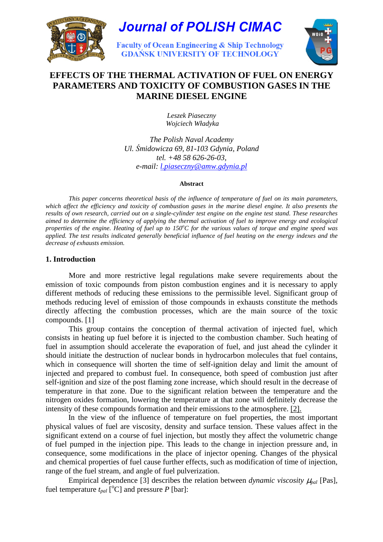

# **Journal of POLISH CIMAC**

**Faculty of Ocean Engineering & Ship Technology GDAŃSK UNIVERSITY OF TECHNOLOGY** 



# **EFFECTS OF THE THERMAL ACTIVATION OF FUEL ON ENERGY PARAMETERS AND TOXICITY OF COMBUSTION GASES IN THE MARINE DIESEL ENGINE**

*Leszek Piaseczny Wojciech Władyka*

*The Polish Naval Academy Ul.* Ś*midowicza 69, 81-103 Gdynia, Poland tel. +48 58 626-26-03, e-mail: l.piaseczny@amw.gdynia.pl*

#### **Abstract**

*This paper concerns theoretical basis of the influence of temperature of fuel on its main parameters, which affect the efficiency and toxicity of combustion gases in the marine diesel engine. It also presents the results of own research, carried out on a single-cylinder test engine on the engine test stand. These researches aimed to determine the efficiency of applying the thermal activation of fuel to improve energy and ecological properties of the engine. Heating of fuel up to 150<sup>°</sup>C for the various values of torque and engine speed was applied. The test results indicated generally beneficial influence of fuel heating on the energy indexes and the decrease of exhausts emission.* 

# **1. Introduction**

More and more restrictive legal regulations make severe requirements about the emission of toxic compounds from piston combustion engines and it is necessary to apply different methods of reducing these emissions to the permissible level. Significant group of methods reducing level of emission of those compounds in exhausts constitute the methods directly affecting the combustion processes, which are the main source of the toxic compounds. [1]

This group contains the conception of thermal activation of injected fuel, which consists in heating up fuel before it is injected to the combustion chamber. Such heating of fuel in assumption should accelerate the evaporation of fuel, and just ahead the cylinder it should initiate the destruction of nuclear bonds in hydrocarbon molecules that fuel contains, which in consequence will shorten the time of self-ignition delay and limit the amount of injected and prepared to combust fuel. In consequence, both speed of combustion just after self-ignition and size of the post flaming zone increase, which should result in the decrease of temperature in that zone. Due to the significant relation between the temperature and the nitrogen oxides formation, lowering the temperature at that zone will definitely decrease the intensity of these compounds formation and their emissions to the atmosphere. [2].

 In the view of the influence of temperature on fuel properties, the most important physical values of fuel are viscosity, density and surface tension. These values affect in the significant extend on a course of fuel injection, but mostly they affect the volumetric change of fuel pumped in the injection pipe. This leads to the change in injection pressure and, in consequence, some modifications in the place of injector opening. Changes of the physical and chemical properties of fuel cause further effects, such as modification of time of injection, range of the fuel stream, and angle of fuel pulverization.

Empirical dependence [3] describes the relation between *dynamic viscosity*  $\mu_{pal}$  [Pas], fuel temperature  $t_{pal}$  [<sup>o</sup>C] and pressure *P* [bar]: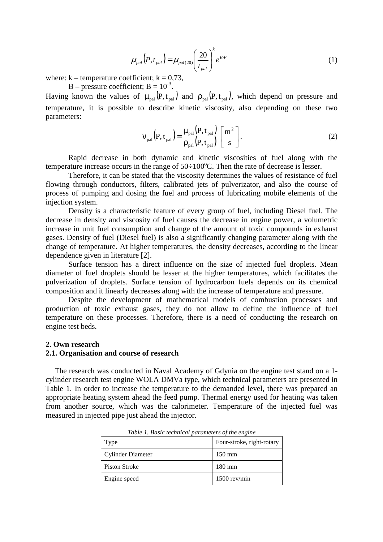$$
\mu_{pal}\left(P,t_{pal}\right) = \mu_{pal(20)}\left(\frac{20}{t_{pal}}\right)^{k} e^{B \cdot P} \tag{1}
$$

where:  $k -$  temperature coefficient;  $k = 0.73$ ,

 $B - pressure coefficient$ ;  $B = 10^{-3}$ .

Having known the values of  $\mu_{\text{pal}}(P, t_{\text{pal}})$  and  $\rho_{\text{pal}}(P, t_{\text{pal}})$ , which depend on pressure and temperature, it is possible to describe kinetic viscosity, also depending on these two parameters:

$$
v_{\text{pal}}(P, t_{\text{pal}}) = \frac{\mu_{\text{pal}}(P, t_{\text{pal}})}{\rho_{\text{pal}}(P, t_{\text{pal}})} \left[\frac{m^2}{s}\right].
$$
 (2)

 Rapid decrease in both dynamic and kinetic viscosities of fuel along with the temperature increase occurs in the range of  $50\div100^{\circ}$ C. Then the rate of decrease is lesser.

 Therefore, it can be stated that the viscosity determines the values of resistance of fuel flowing through conductors, filters, calibrated jets of pulverizator, and also the course of process of pumping and dosing the fuel and process of lubricating mobile elements of the injection system.

 Density is a characteristic feature of every group of fuel, including Diesel fuel. The decrease in density and viscosity of fuel causes the decrease in engine power, a volumetric increase in unit fuel consumption and change of the amount of toxic compounds in exhaust gases. Density of fuel (Diesel fuel) is also a significantly changing parameter along with the change of temperature. At higher temperatures, the density decreases, according to the linear dependence given in literature [2].

 Surface tension has a direct influence on the size of injected fuel droplets. Mean diameter of fuel droplets should be lesser at the higher temperatures, which facilitates the pulverization of droplets. Surface tension of hydrocarbon fuels depends on its chemical composition and it linearly decreases along with the increase of temperature and pressure.

 Despite the development of mathematical models of combustion processes and production of toxic exhaust gases, they do not allow to define the influence of fuel temperature on these processes. Therefore, there is a need of conducting the research on engine test beds.

#### **2. Own research**

#### **2.1. Organisation and course of research**

 The research was conducted in Naval Academy of Gdynia on the engine test stand on a 1 cylinder research test engine WOLA DMVa type, which technical parameters are presented in Table 1. In order to increase the temperature to the demanded level, there was prepared an appropriate heating system ahead the feed pump. Thermal energy used for heating was taken from another source, which was the calorimeter. Temperature of the injected fuel was measured in injected pipe just ahead the injector.

| Type              | Four-stroke, right-rotary |
|-------------------|---------------------------|
| Cylinder Diameter | $150 \text{ mm}$          |
| Piston Stroke     | $180 \text{ mm}$          |
| Engine speed      | $1500$ rev/min            |

*Table 1. Basic technical parameters of the engine*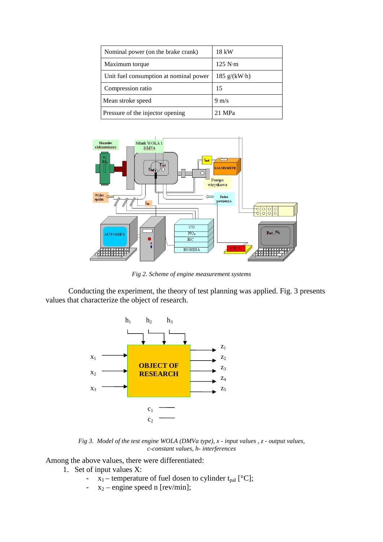| Nominal power (on the brake crank)     | 18 kW                                        |  |  |
|----------------------------------------|----------------------------------------------|--|--|
| Maximum torque                         | 125 N·m                                      |  |  |
| Unit fuel consumption at nominal power | $185 \text{ g} / (\text{kW} \cdot \text{h})$ |  |  |
| Compression ratio                      | 15                                           |  |  |
| Mean stroke speed                      | $9 \text{ m/s}$                              |  |  |
| Pressure of the injector opening       | 21 MPa                                       |  |  |



*Fig 2. Scheme of engine measurement systems* 

 Conducting the experiment, the theory of test planning was applied. Fig. 3 presents values that characterize the object of research.



*Fig 3. Model of the test engine WOLA (DMVa type), x - input values , z - output values, c-constant values, h- interferences* 

Among the above values, there were differentiated:

- 1. Set of input values X:
	- $x_1$  temperature of fuel dosen to cylinder t<sub>pal</sub> [°C];
	- $x_2$  engine speed n [rev/min];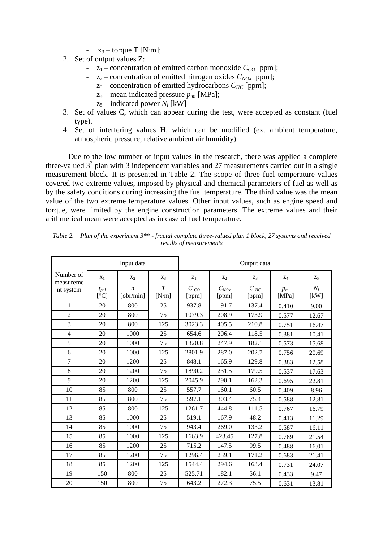- $x_3$  torque T [N·m];
- 2. Set of output values Z:
	- $z_1$  concentration of emitted carbon monoxide  $C_{CO}$  [ppm];
	- $z_2$  concentration of emitted nitrogen oxides  $C_{NOx}$  [ppm];
	- $z_3$  concentration of emitted hydrocarbons  $C_{HC}$  [ppm];
	- $z_4$  mean indicated pressure  $p_{mi}$  [MPa];
	- $z_5$  indicated power  $N_i$  [kW]
- 3. Set of values C, which can appear during the test, were accepted as constant (fuel type).
- 4. Set of interfering values H, which can be modified (ex. ambient temperature, atmospheric pressure, relative ambient air humidity).

 Due to the low number of input values in the research, there was applied a complete three-valued  $3<sup>3</sup>$  plan with 3 independent variables and 27 measurements carried out in a single measurement block. It is presented in Table 2. The scope of three fuel temperature values covered two extreme values, imposed by physical and chemical parameters of fuel as well as by the safety conditions during increasing the fuel temperature. The third value was the mean value of the two extreme temperature values. Other input values, such as engine speed and torque, were limited by the engine construction parameters. The extreme values and their arithmetical mean were accepted as in case of fuel temperature.

|                        | Input data                     |                               |            | Output data       |                    |                            |                       |               |
|------------------------|--------------------------------|-------------------------------|------------|-------------------|--------------------|----------------------------|-----------------------|---------------|
| Number of<br>measureme | $X_1$                          | X <sub>2</sub>                | $X_3$      | $z_1$             | $\mathbf{z}_2$     | $Z_3$                      | $Z_4$                 | $Z_5$         |
| nt system              | $t_{pal}$<br>$[\rm ^{\circ}C]$ | $\boldsymbol{n}$<br>[obr/min] | T<br>[N'm] | $C_{CO}$<br>[ppm] | $C_{NOx}$<br>[ppm] | $C$ <sub>HC</sub><br>[ppm] | $p_{mi}$<br>[ $MPa$ ] | $N_i$<br>[kW] |
| $\mathbf{1}$           | 20                             | 800                           | 25         | 937.8             | 191.7              | 137.4                      | 0.410                 | 9.00          |
| $\overline{2}$         | 20                             | 800                           | 75         | 1079.3            | 208.9              | 173.9                      | 0.577                 | 12.67         |
| 3                      | 20                             | 800                           | 125        | 3023.3            | 405.5              | 210.8                      | 0.751                 | 16.47         |
| $\overline{4}$         | 20                             | 1000                          | 25         | 654.6             | 206.4              | 118.5                      | 0.381                 | 10.41         |
| 5                      | 20                             | 1000                          | 75         | 1320.8            | 247.9              | 182.1                      | 0.573                 | 15.68         |
| 6                      | 20                             | 1000                          | 125        | 2801.9            | 287.0              | 202.7                      | 0.756                 | 20.69         |
| $\overline{7}$         | 20                             | 1200                          | 25         | 848.1             | 165.9              | 129.8                      | 0.383                 | 12.58         |
| 8                      | 20                             | 1200                          | 75         | 1890.2            | 231.5              | 179.5                      | 0.537                 | 17.63         |
| 9                      | 20                             | 1200                          | 125        | 2045.9            | 290.1              | 162.3                      | 0.695                 | 22.81         |
| 10                     | 85                             | 800                           | 25         | 557.7             | 160.1              | 60.5                       | 0.409                 | 8.96          |
| 11                     | 85                             | 800                           | 75         | 597.1             | 303.4              | 75.4                       | 0.588                 | 12.81         |
| 12                     | 85                             | 800                           | 125        | 1261.7            | 444.8              | 111.5                      | 0.767                 | 16.79         |
| 13                     | 85                             | 1000                          | 25         | 519.1             | 167.9              | 48.2                       | 0.413                 | 11.29         |
| 14                     | 85                             | 1000                          | 75         | 943.4             | 269.0              | 133.2                      | 0.587                 | 16.11         |
| 15                     | 85                             | 1000                          | 125        | 1663.9            | 423.45             | 127.8                      | 0.789                 | 21.54         |
| 16                     | 85                             | 1200                          | 25         | 715.2             | 147.5              | 99.5                       | 0.488                 | 16.01         |
| 17                     | 85                             | 1200                          | 75         | 1296.4            | 239.1              | 171.2                      | 0.683                 | 21.41         |
| 18                     | 85                             | 1200                          | 125        | 1544.4            | 294.6              | 163.4                      | 0.731                 | 24.07         |
| 19                     | 150                            | 800                           | 25         | 525.71            | 182.1              | 56.1                       | 0.433                 | 9.47          |
| 20                     | 150                            | 800                           | 75         | 643.2             | 272.3              | 75.5                       | 0.631                 | 13.81         |

*Table 2. Plan of the experiment 3\*\* - fractal complete three-valued plan 1 block, 27 systems and received results of measurements*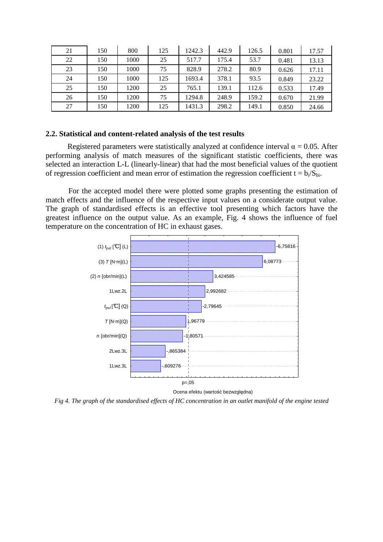| 21 | 150 | 800  | 125 | 1242.3 | 442.9 | 126.5 | 0.801 | 17.57 |
|----|-----|------|-----|--------|-------|-------|-------|-------|
| 22 | 150 | 1000 | 25  | 517.7  | 175.4 | 53.7  | 0.481 | 13.13 |
| 23 | 150 | 1000 | 75  | 828.9  | 278.2 | 80.9  | 0.626 | 17.11 |
| 24 | 150 | 1000 | 125 | 1693.4 | 378.1 | 93.5  | 0.849 | 23.22 |
| 25 | 150 | 1200 | 25  | 765.1  | 139.1 | 112.6 | 0.533 | 17.49 |
| 26 | 150 | 1200 | 75  | 1294.8 | 248.9 | 159.2 | 0.670 | 21.99 |
| 27 | 150 | 1200 | 125 | 1431.3 | 298.2 | 149.1 | 0.850 | 24.66 |

#### **2.2. Statistical and content-related analysis of the test results**

Registered parameters were statistically analyzed at confidence interval  $\alpha = 0.05$ . After performing analysis of match measures of the significant statistic coefficients, there was selected an interaction L-L (linearly-linear) that had the most beneficial values of the quotient of regression coefficient and mean error of estimation the regression coefficient  $t = b_i/S_{bi}$ .

 For the accepted model there were plotted some graphs presenting the estimation of match effects and the influence of the respective input values on a considerate output value. The graph of standardised effects is an effective tool presenting which factors have the greatest influence on the output value. As an example, Fig. 4 shows the influence of fuel temperature on the concentration of HC in exhaust gases.



*Fig 4. The graph of the standardised effects of HC concentration in an outlet manifold of the engine tested*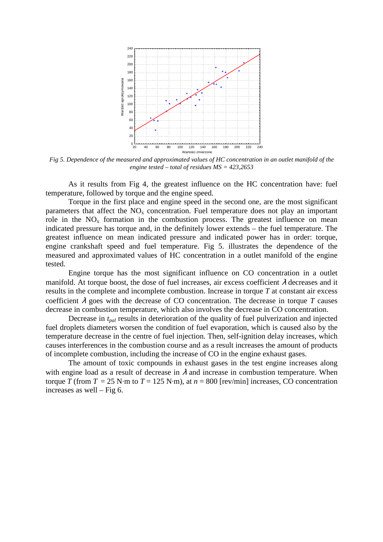

*Fig 5. Dependence of the measured and approximated values of HC concentration in an outlet manifold of the engine tested – total of residues MS = 423,2653* 

 As it results from Fig 4, the greatest influence on the HC concentration have: fuel temperature, followed by torque and the engine speed.

Torque in the first place and engine speed in the second one, are the most significant parameters that affect the  $NO<sub>x</sub>$  concentration. Fuel temperature does not play an important role in the  $NO<sub>x</sub>$  formation in the combustion process. The greatest influence on mean indicated pressure has torque and, in the definitely lower extends – the fuel temperature. The greatest influence on mean indicated pressure and indicated power has in order: torque, engine crankshaft speed and fuel temperature. Fig 5. illustrates the dependence of the measured and approximated values of HC concentration in a outlet manifold of the engine tested.

 Engine torque has the most significant influence on CO concentration in a outlet manifold. At torque boost, the dose of fuel increases, air excess coefficient  $\lambda$  decreases and it results in the complete and incomplete combustion. Increase in torque *T* at constant air excess coefficient  $\lambda$  goes with the decrease of CO concentration. The decrease in torque T causes decrease in combustion temperature, which also involves the decrease in CO concentration.

 Decrease in *tpal* results in deterioration of the quality of fuel pulverization and injected fuel droplets diameters worsen the condition of fuel evaporation, which is caused also by the temperature decrease in the centre of fuel injection. Then, self-ignition delay increases, which causes interferences in the combustion course and as a result increases the amount of products of incomplete combustion, including the increase of CO in the engine exhaust gases.

 The amount of toxic compounds in exhaust gases in the test engine increases along with engine load as a result of decrease in  $\lambda$  and increase in combustion temperature. When torque *T* (from  $T = 25$  N·m to  $T = 125$  N·m), at  $n = 800$  [rev/min] increases, CO concentration increases as well – Fig 6.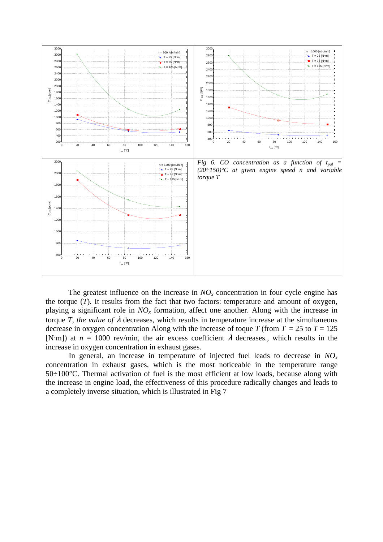

The greatest influence on the increase in  $NO<sub>x</sub>$  concentration in four cycle engine has the torque (*T*). It results from the fact that two factors: temperature and amount of oxygen, playing a significant role in *NOx* formation, affect one another. Along with the increase in torque *T*, the value of  $\lambda$  decreases, which results in temperature increase at the simultaneous decrease in oxygen concentration Along with the increase of toque *T* (from  $T = 25$  to  $T = 125$ ) [N·m]) at  $n = 1000$  rev/min, the air excess coefficient  $\lambda$  decreases., which results in the increase in oxygen concentration in exhaust gases.

In general, an increase in temperature of injected fuel leads to decrease in  $NO<sub>x</sub>$ concentration in exhaust gases, which is the most noticeable in the temperature range 50÷100°C. Thermal activation of fuel is the most efficient at low loads, because along with the increase in engine load, the effectiveness of this procedure radically changes and leads to a completely inverse situation, which is illustrated in Fig 7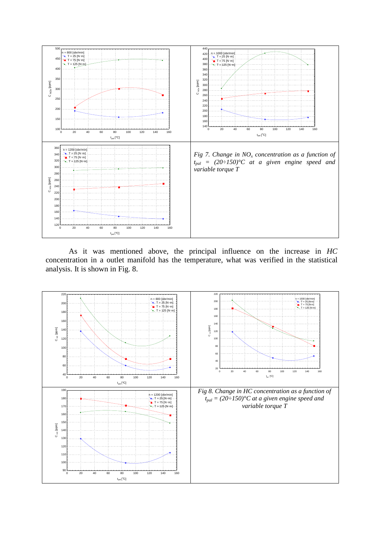

As it was mentioned above, the principal influence on the increase in *HC* concentration in a outlet manifold has the temperature, what was verified in the statistical analysis. It is shown in Fig. 8.

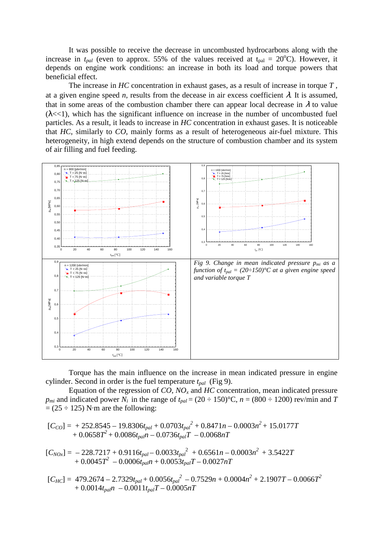It was possible to receive the decrease in uncombusted hydrocarbons along with the increase in  $t_{pal}$  (even to approx. 55% of the values received at  $t_{pal} = 20^{\circ}$ C). However, it depends on engine work conditions: an increase in both its load and torque powers that beneficial effect.

The increase in *HC* concentration in exhaust gases, as a result of increase in torque *T* , at a given engine speed *n*, results from the decease in air excess coefficient  $\lambda$ . It is assumed, that in some areas of the combustion chamber there can appear local decrease in  $\lambda$  to value  $(\lambda \ll 1)$ , which has the significant influence on increase in the number of uncombusted fuel particles. As a result, it leads to increase in *HC* concentration in exhaust gases. It is noticeable that *HC*, similarly to *CO*, mainly forms as a result of heterogeneous air-fuel mixture. This heterogeneity, in high extend depends on the structure of combustion chamber and its system of air filling and fuel feeding.



Torque has the main influence on the increase in mean indicated pressure in engine cylinder. Second in order is the fuel temperature *tpal* (Fig 9).

Equation of the regression of *CO, NO<sup>x</sup>* and *HC* concentration, mean indicated pressure *p<sub>mi</sub>* and indicated power  $N_i$  in the range of  $t_{pal} = (20 \div 150)$ °C,  $n = (800 \div 1200)$  rev/min and *T*  $= (25 \div 125)$  N·m are the following:

 $[C_{CO}] = +252.8545 - 19.8306t_{pal} + 0.0703t_{pal}^2 + 0.8471n - 0.0003n^2 + 15.0177T$ +  $0.0658T^2 + 0.0086t_{pal}T - 0.0736t_{pal}T - 0.0068nT$ 

 $[C_{NOx}] = -228.7217 + 0.9116t_{pal} - 0.0033t_{pal}^{2} + 0.6561n - 0.0003n^{2} + 3.5422T$  $+ 0.0045T^2 - 0.0006t_{pal}n + 0.0053t_{pal}T - 0.0027nT$ 

$$
[C_{HC}] = 479.2674 - 2.7329t_{pal} + 0.0056t_{pal}^{2} - 0.7529n + 0.0004n^{2} + 2.1907T - 0.0066T^{2} + 0.0014t_{pal}n - 0.0011t_{pal}T - 0.0005nT
$$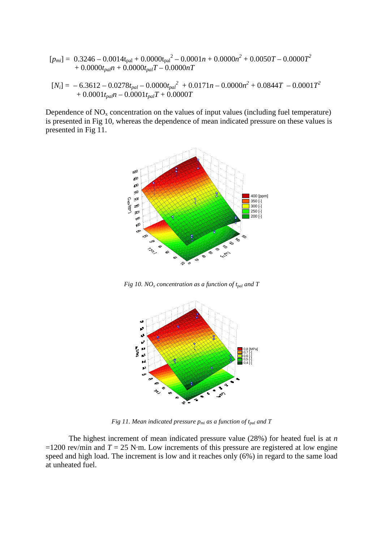$$
[p_{mi}] = 0.3246 - 0.0014t_{pal} + 0.0000t_{pal}^{2} - 0.0001n + 0.0000n^{2} + 0.0050T - 0.0000T^{2}
$$
  
+ 0.0000t<sub>pal</sub>n + 0.0000t<sub>pal</sub>T - 0.0000nT  
[*N<sub>i</sub>*] = -6.3612 - 0.0278t<sub>pal</sub> - 0.0000t<sub>pal</sub><sup>2</sup> + 0.0171n - 0.0000n<sup>2</sup> + 0.0844T - 0.0001T<sup>2</sup>

$$
+\ 0.0001t_{pal}n - 0.0001t_{pal}T + 0.0000T
$$

Dependence of  $NO<sub>x</sub>$  concentration on the values of input values (including fuel temperature) is presented in Fig 10, whereas the dependence of mean indicated pressure on these values is presented in Fig 11.



*Fig 10. NO<sup>x</sup> concentration as a function of tpal and T* 



*Fig 11. Mean indicated pressure pmi as a function of tpal and T* 

The highest increment of mean indicated pressure value (28%) for heated fuel is at *n*   $=1200$  rev/min and  $T = 25$  N·m. Low increments of this pressure are registered at low engine speed and high load. The increment is low and it reaches only (6%) in regard to the same load at unheated fuel.